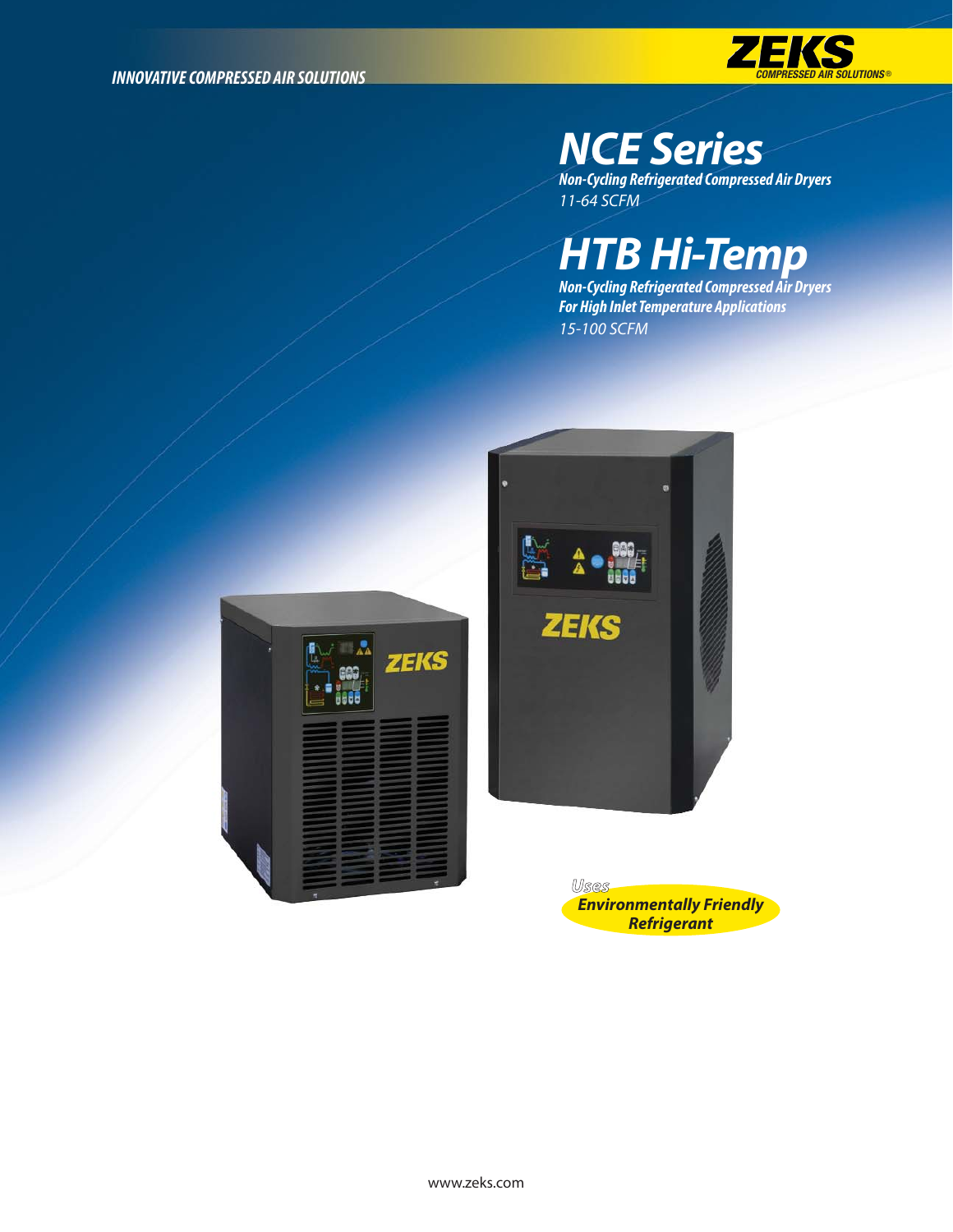

## *NCE Series*

*Non-Cycling Refrigerated Compressed Air Dryers* 11-64 SCFM

## *HTB Hi-Temp*

*Non-Cycling Refrigerated Compressed Air Dryers For High Inlet Temperature Applications* 15-100 SCFM





*Uses Environmentally Friendly Refrigerant*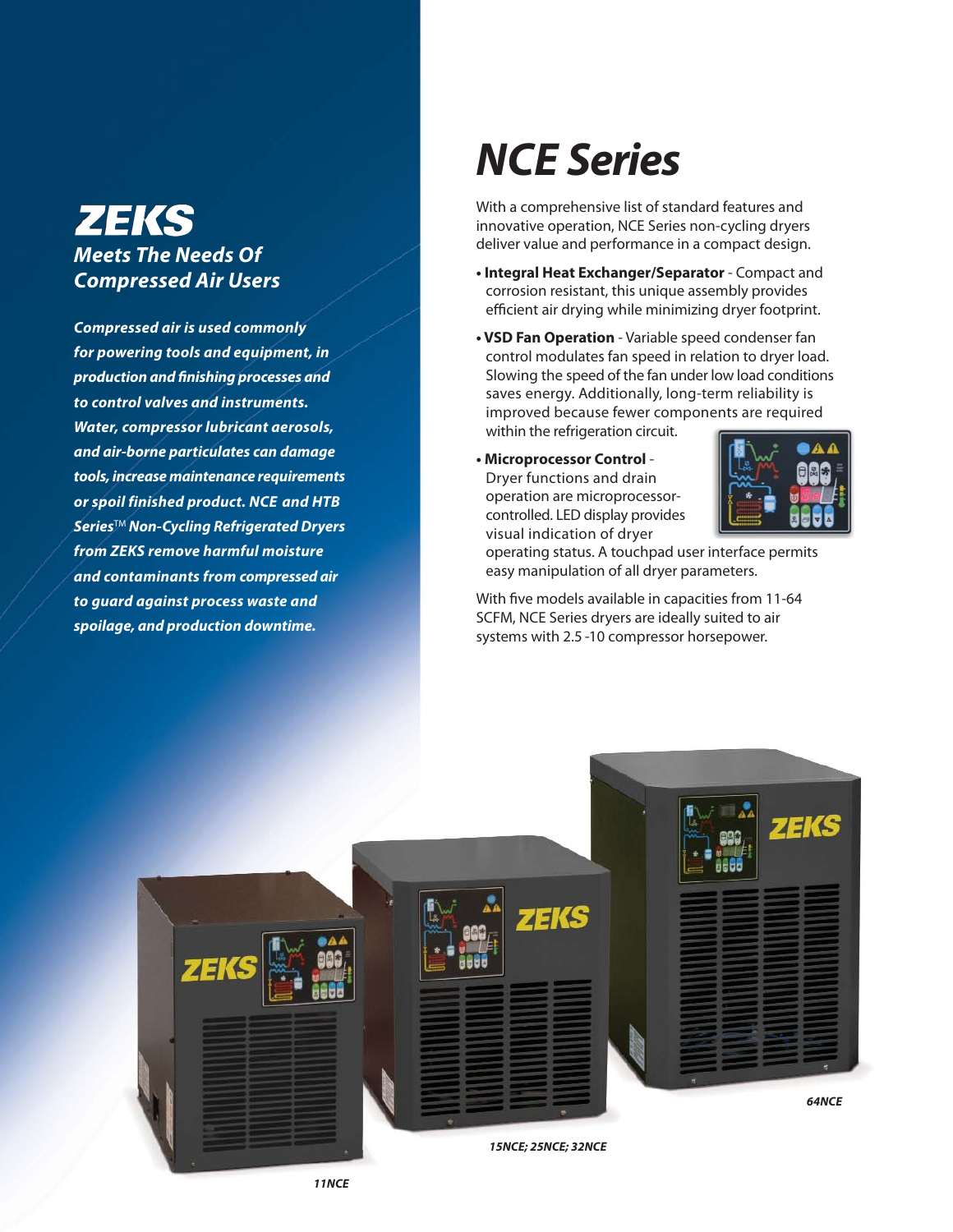### **ZEKS** *Meets The Needs Of Compressed Air Users*

*Compressed air is used commonly for powering tools and equipment, in production and finishing processes and to control valves and instruments. Water, compressor lubricant aerosols, and air-borne particulates can damage tools, increase maintenance requirements or spoil finished product. NCE and HTB Series*TM *Non-Cycling Refrigerated Dryers from ZEKS remove harmful moisture and contaminants from compressed air to guard against process waste and spoilage, and production downtime.*

## *NCE Series*

With a comprehensive list of standard features and innovative operation, NCE Series non-cycling dryers deliver value and performance in a compact design.

- **Integral Heat Exchanger/Separator** Compact and corrosion resistant, this unique assembly provides efficient air drying while minimizing dryer footprint.
- **VSD Fan Operation** Variable speed condenser fan control modulates fan speed in relation to dryer load. Slowing the speed of the fan under low load conditions saves energy. Additionally, long-term reliability is improved because fewer components are required within the refrigeration circuit.
- **Microprocessor Control** Dryer functions and drain operation are microprocessorcontrolled. LED display provides visual indication of dryer



operating status. A touchpad user interface permits easy manipulation of all dryer parameters.

With five models available in capacities from 11-64 SCFM, NCE Series dryers are ideally suited to air systems with 2.5 -10 compressor horsepower.

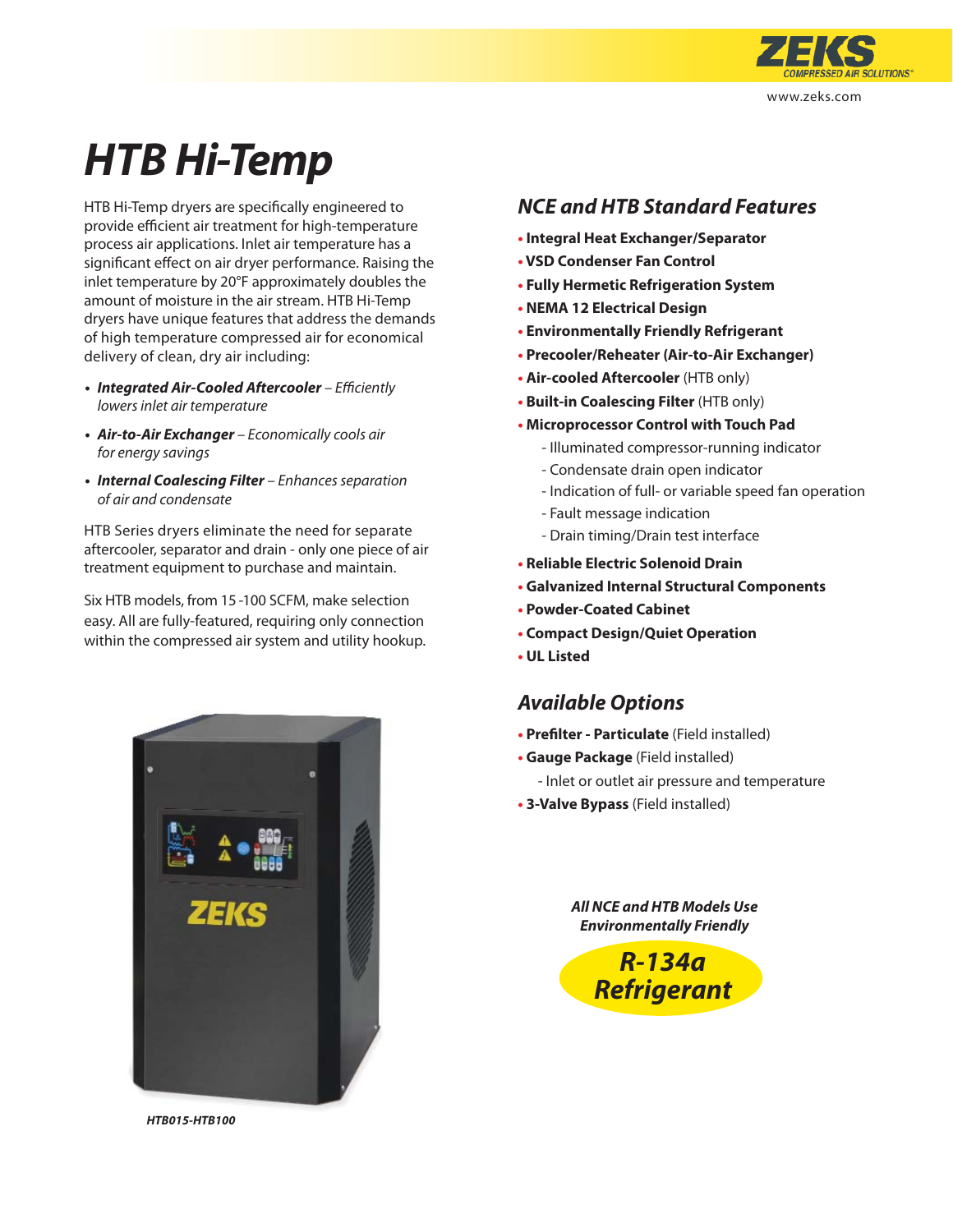

# *HTB Hi-Temp*

HTB Hi-Temp dryers are specifically engineered to provide efficient air treatment for high-temperature process air applications. Inlet air temperature has a significant effect on air dryer performance. Raising the inlet temperature by 20°F approximately doubles the amount of moisture in the air stream. HTB Hi-Temp dryers have unique features that address the demands of high temperature compressed air for economical delivery of clean, dry air including:

- *Integrated Air-Cooled Aftercooler*  Efficiently lowers inlet air temperature
- *Air-to-Air Exchanger* Economically cools air for energy savings
- *Internal Coalescing Filter*  Enhances separation of air and condensate

HTB Series dryers eliminate the need for separate aftercooler, separator and drain - only one piece of air treatment equipment to purchase and maintain.

Six HTB models, from 15 -100 SCFM, make selection easy. All are fully-featured, requiring only connection within the compressed air system and utility hookup.



*HTB015-HTB100*

### *NCE and HTB Standard Features*

- **• Integral Heat Exchanger/Separator**
- **• VSD Condenser Fan Control**
- **• Fully Hermetic Refrigeration System**
- **• NEMA 12 Electrical Design**
- **• Environmentally Friendly Refrigerant**
- **• Precooler/Reheater (Air-to-Air Exchanger)**
- **• Air-cooled Aftercooler** (HTB only)
- **• Built-in Coalescing Filter** (HTB only)
- **• Microprocessor Control with Touch Pad**
	- Illuminated compressor-running indicator
	- Condensate drain open indicator
	- Indication of full- or variable speed fan operation
	- Fault message indication
	- Drain timing/Drain test interface
- **• Reliable Electric Solenoid Drain**
- **• Galvanized Internal Structural Components**
- **• Powder-Coated Cabinet**
- **• Compact Design/Quiet Operation**
- **• UL Listed**

### *Available Options*

- **• Prefilter Particulate** (Field installed)
- **• Gauge Package** (Field installed)
	- Inlet or outlet air pressure and temperature
- **• 3-Valve Bypass** (Field installed)

*All NCE and HTB Models Use Environmentally Friendly*